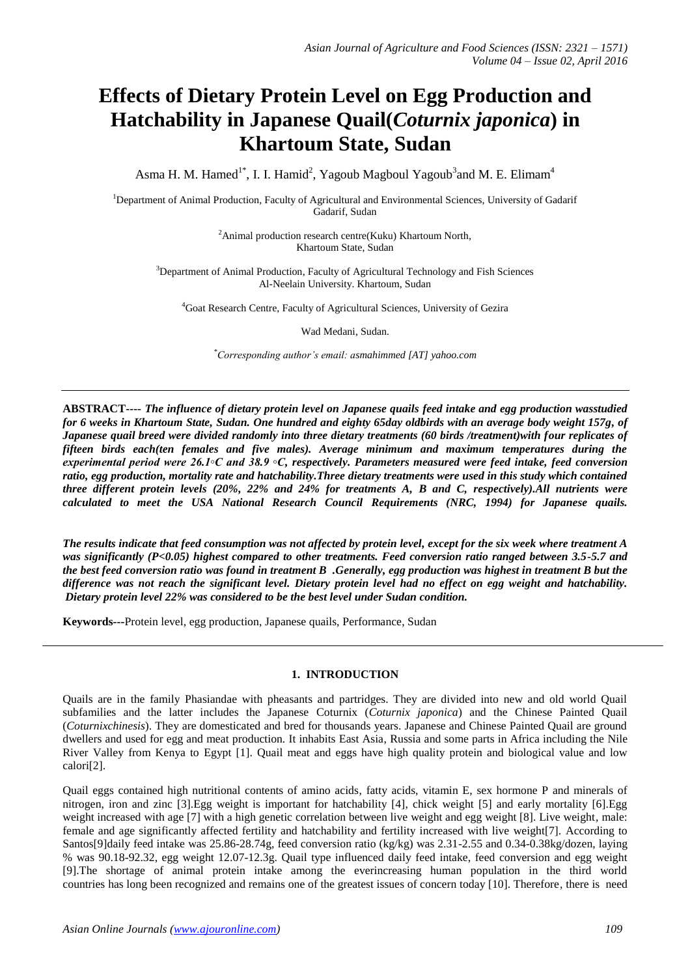# **Effects of Dietary Protein Level on Egg Production and Hatchability in Japanese Quail(***Coturnix japonica***) in Khartoum State, Sudan**

Asma H. M. Hamed<sup>1\*</sup>, I. I. Hamid<sup>2</sup>, Yagoub Magboul Yagoub<sup>3</sup>and M. E. Elimam<sup>4</sup>

<sup>1</sup>Department of Animal Production, Faculty of Agricultural and Environmental Sciences, University of Gadarif Gadarif, Sudan

> <sup>2</sup>Animal production research centre(Kuku) Khartoum North, Khartoum State, Sudan

<sup>3</sup>Department of Animal Production, Faculty of Agricultural Technology and Fish Sciences Al-Neelain University. Khartoum, Sudan

<sup>4</sup>Goat Research Centre, Faculty of Agricultural Sciences, University of Gezira

Wad Medani, Sudan.

*\*Corresponding author's email: asmahimmed [AT] yahoo.com*

**ABSTRACT----** *The influence of dietary protein level on Japanese quails feed intake and egg production wasstudied for 6 weeks in Khartoum State, Sudan. One hundred and eighty 65day oldbirds with an average body weight 157g, of Japanese quail breed were divided randomly into three dietary treatments (60 birds /treatment)with four replicates of fifteen birds each(ten females and five males). Average minimum and maximum temperatures during the experimental period were 26.1◦C and 38.9 ◦C, respectively. Parameters measured were feed intake, feed conversion ratio, egg production, mortality rate and hatchability.Three dietary treatments were used in this study which contained three different protein levels (20%, 22% and 24% for treatments A, B and C, respectively).All nutrients were calculated to meet the USA National Research Council Requirements (NRC, 1994) for Japanese quails.* 

*The results indicate that feed consumption was not affected by protein level, except for the six week where treatment A was significantly (P<0.05) highest compared to other treatments. Feed conversion ratio ranged between 3.5-5.7 and the best feed conversion ratio was found in treatment B .Generally, egg production was highest in treatment B but the difference was not reach the significant level. Dietary protein level had no effect on egg weight and hatchability. Dietary protein level 22% was considered to be the best level under Sudan condition.* 

**Keywords---**Protein level, egg production, Japanese quails, Performance, Sudan

## **1. INTRODUCTION**

Quails are in the family Phasiandae with pheasants and partridges. They are divided into new and old world Quail subfamilies and the latter includes the Japanese Coturnix (*Coturnix japonica*) and the Chinese Painted Quail (*Coturnixchinesis*). They are domesticated and bred for thousands years. Japanese and Chinese Painted Quail are ground dwellers and used for egg and meat production. It inhabits East Asia, Russia and some parts in Africa including the Nile River Valley from Kenya to Egypt [1]. Quail meat and eggs have high quality protein and biological value and low calori[2].

Quail eggs contained high nutritional contents of amino acids, fatty acids, vitamin E, sex hormone P and minerals of nitrogen, iron and zinc [3].Egg weight is important for hatchability [4], chick weight [5] and early mortality [6].Egg weight increased with age [7] with a high genetic correlation between live weight and egg weight [8]. Live weight, male: female and age significantly affected fertility and hatchability and fertility increased with live weight[7]. According to Santos[9]daily feed intake was 25.86-28.74g, feed conversion ratio (kg/kg) was 2.31-2.55 and 0.34-0.38kg/dozen, laying % was 90.18-92.32, egg weight 12.07-12.3g. Quail type influenced daily feed intake, feed conversion and egg weight [9].The shortage of animal protein intake among the everincreasing human population in the third world countries has long been recognized and remains one of the greatest issues of concern today [10]. Therefore, there is need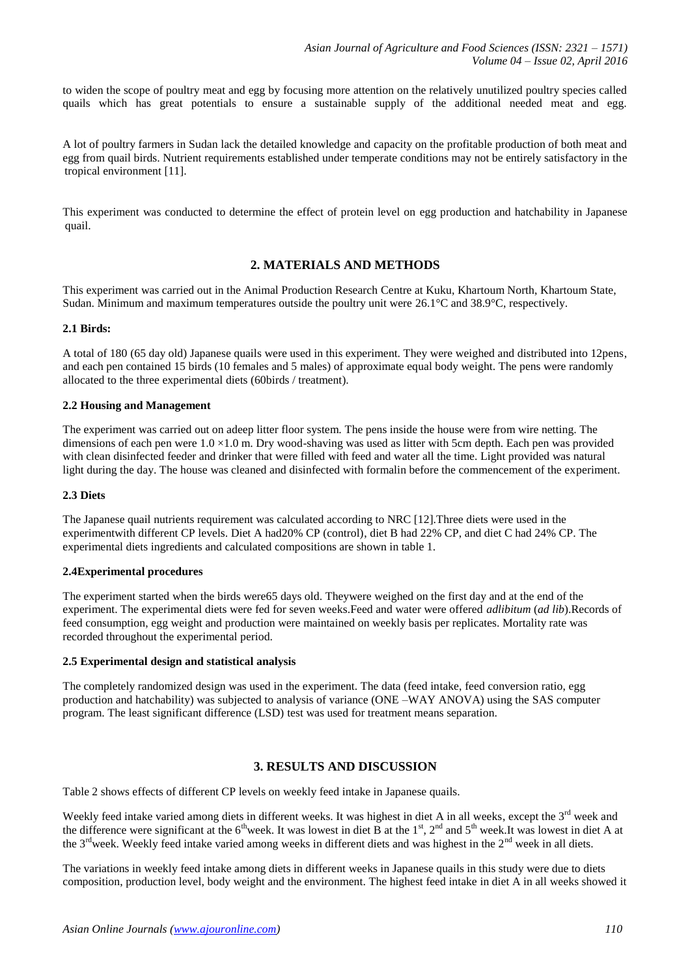to widen the scope of poultry meat and egg by focusing more attention on the relatively unutilized poultry species called quails which has great potentials to ensure a sustainable supply of the additional needed meat and egg.

A lot of poultry farmers in Sudan lack the detailed knowledge and capacity on the profitable production of both meat and egg from quail birds. Nutrient requirements established under temperate conditions may not be entirely satisfactory in the tropical environment [11].

This experiment was conducted to determine the effect of protein level on egg production and hatchability in Japanese quail.

## **2. MATERIALS AND METHODS**

This experiment was carried out in the Animal Production Research Centre at Kuku, Khartoum North, Khartoum State, Sudan. Minimum and maximum temperatures outside the poultry unit were 26.1°C and 38.9°C, respectively.

#### **2.1 Birds:**

A total of 180 (65 day old) Japanese quails were used in this experiment. They were weighed and distributed into 12pens, and each pen contained 15 birds (10 females and 5 males) of approximate equal body weight. The pens were randomly allocated to the three experimental diets (60birds / treatment).

## **2.2 Housing and Management**

The experiment was carried out on adeep litter floor system. The pens inside the house were from wire netting. The dimensions of each pen were  $1.0 \times 1.0$  m. Dry wood-shaving was used as litter with 5cm depth. Each pen was provided with clean disinfected feeder and drinker that were filled with feed and water all the time. Light provided was natural light during the day. The house was cleaned and disinfected with formalin before the commencement of the experiment.

#### **2.3 Diets**

The Japanese quail nutrients requirement was calculated according to NRC [12].Three diets were used in the experimentwith different CP levels. Diet A had20% CP (control), diet B had 22% CP, and diet C had 24% CP. The experimental diets ingredients and calculated compositions are shown in table 1.

## **2.4Experimental procedures**

The experiment started when the birds were65 days old. Theywere weighed on the first day and at the end of the experiment. The experimental diets were fed for seven weeks.Feed and water were offered *adlibitum* (*ad lib*).Records of feed consumption, egg weight and production were maintained on weekly basis per replicates. Mortality rate was recorded throughout the experimental period.

#### **2.5 Experimental design and statistical analysis**

The completely randomized design was used in the experiment. The data (feed intake, feed conversion ratio, egg production and hatchability) was subjected to analysis of variance (ONE –WAY ANOVA) using the SAS computer program. The least significant difference (LSD) test was used for treatment means separation.

# **3. RESULTS AND DISCUSSION**

Table 2 shows effects of different CP levels on weekly feed intake in Japanese quails.

Weekly feed intake varied among diets in different weeks. It was highest in diet A in all weeks, except the  $3<sup>rd</sup>$  week and the difference were significant at the  $6^{th}$ week. It was lowest in diet B at the 1<sup>st</sup>, 2<sup>nd</sup> and  $5^{th}$  week. It was lowest in diet A at the 3<sup>rd</sup>week. Weekly feed intake varied among weeks in different diets and was highest in the 2<sup>nd</sup> week in all diets.

The variations in weekly feed intake among diets in different weeks in Japanese quails in this study were due to diets composition, production level, body weight and the environment. The highest feed intake in diet A in all weeks showed it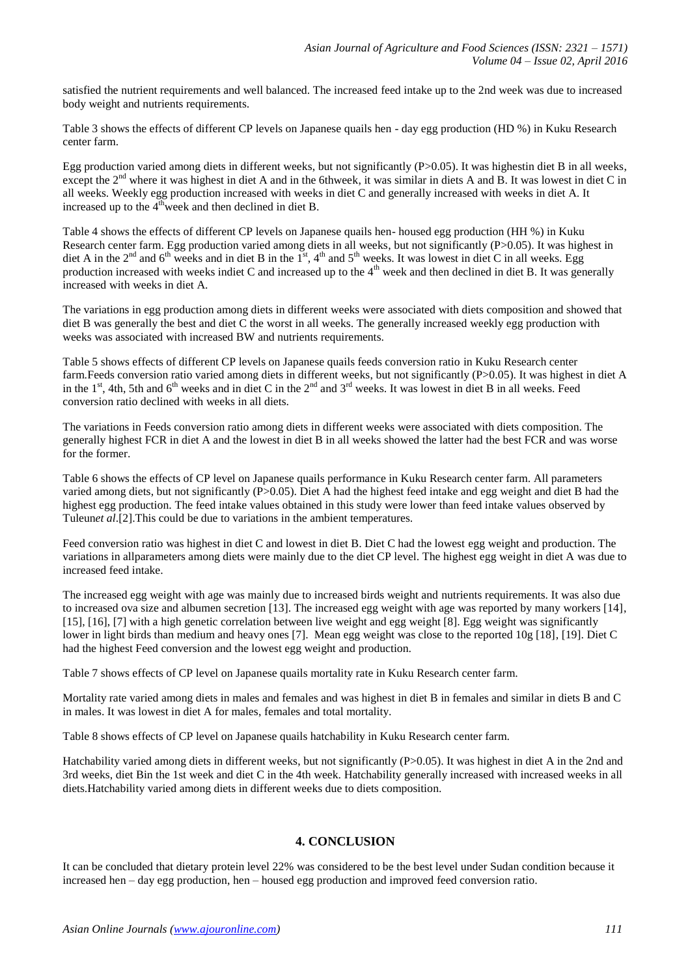satisfied the nutrient requirements and well balanced. The increased feed intake up to the 2nd week was due to increased body weight and nutrients requirements.

Table 3 shows the effects of different CP levels on Japanese quails hen - day egg production (HD %) in Kuku Research center farm.

Egg production varied among diets in different weeks, but not significantly (P>0.05). It was highestin diet B in all weeks, except the  $2<sup>nd</sup>$  where it was highest in diet A and in the 6thweek, it was similar in diets A and B. It was lowest in diet C in all weeks. Weekly egg production increased with weeks in diet C and generally increased with weeks in diet A. It increased up to the  $4<sup>th</sup>$  week and then declined in diet B.

Table 4 shows the effects of different CP levels on Japanese quails hen- housed egg production (HH %) in Kuku Research center farm. Egg production varied among diets in all weeks, but not significantly (P>0.05). It was highest in diet A in the 2<sup>nd</sup> and 6<sup>th</sup> weeks and in diet B in the 1<sup>st</sup>, 4<sup>th</sup> and 5<sup>th</sup> weeks. It was lowest in diet C in all weeks. Egg production increased with weeks indiet C and increased up to the  $4<sup>th</sup>$  week and then declined in diet B. It was generally increased with weeks in diet A.

The variations in egg production among diets in different weeks were associated with diets composition and showed that diet B was generally the best and diet C the worst in all weeks. The generally increased weekly egg production with weeks was associated with increased BW and nutrients requirements.

Table 5 shows effects of different CP levels on Japanese quails feeds conversion ratio in Kuku Research center farm.Feeds conversion ratio varied among diets in different weeks, but not significantly (P>0.05). It was highest in diet A in the  $1<sup>st</sup>$ , 4th, 5th and 6<sup>th</sup> weeks and in diet C in the  $2<sup>nd</sup>$  and  $3<sup>rd</sup>$  weeks. It was lowest in diet B in all weeks. Feed conversion ratio declined with weeks in all diets.

The variations in Feeds conversion ratio among diets in different weeks were associated with diets composition. The generally highest FCR in diet A and the lowest in diet B in all weeks showed the latter had the best FCR and was worse for the former.

Table 6 shows the effects of CP level on Japanese quails performance in Kuku Research center farm. All parameters varied among diets, but not significantly (P>0.05). Diet A had the highest feed intake and egg weight and diet B had the highest egg production. The feed intake values obtained in this study were lower than feed intake values observed by Tuleun*et al*.[2].This could be due to variations in the ambient temperatures.

Feed conversion ratio was highest in diet C and lowest in diet B. Diet C had the lowest egg weight and production. The variations in allparameters among diets were mainly due to the diet CP level. The highest egg weight in diet A was due to increased feed intake.

The increased egg weight with age was mainly due to increased birds weight and nutrients requirements. It was also due to increased ova size and albumen secretion [13]. The increased egg weight with age was reported by many workers [14], [15], [16], [7] with a high genetic correlation between live weight and egg weight [8]. Egg weight was significantly lower in light birds than medium and heavy ones [7]. Mean egg weight was close to the reported 10g [18], [19]. Diet C had the highest Feed conversion and the lowest egg weight and production.

Table 7 shows effects of CP level on Japanese quails mortality rate in Kuku Research center farm.

Mortality rate varied among diets in males and females and was highest in diet B in females and similar in diets B and C in males. It was lowest in diet A for males, females and total mortality.

Table 8 shows effects of CP level on Japanese quails hatchability in Kuku Research center farm.

Hatchability varied among diets in different weeks, but not significantly (P>0.05). It was highest in diet A in the 2nd and 3rd weeks, diet Bin the 1st week and diet C in the 4th week. Hatchability generally increased with increased weeks in all diets.Hatchability varied among diets in different weeks due to diets composition.

# **4. CONCLUSION**

It can be concluded that dietary protein level 22% was considered to be the best level under Sudan condition because it increased hen – day egg production, hen – housed egg production and improved feed conversion ratio.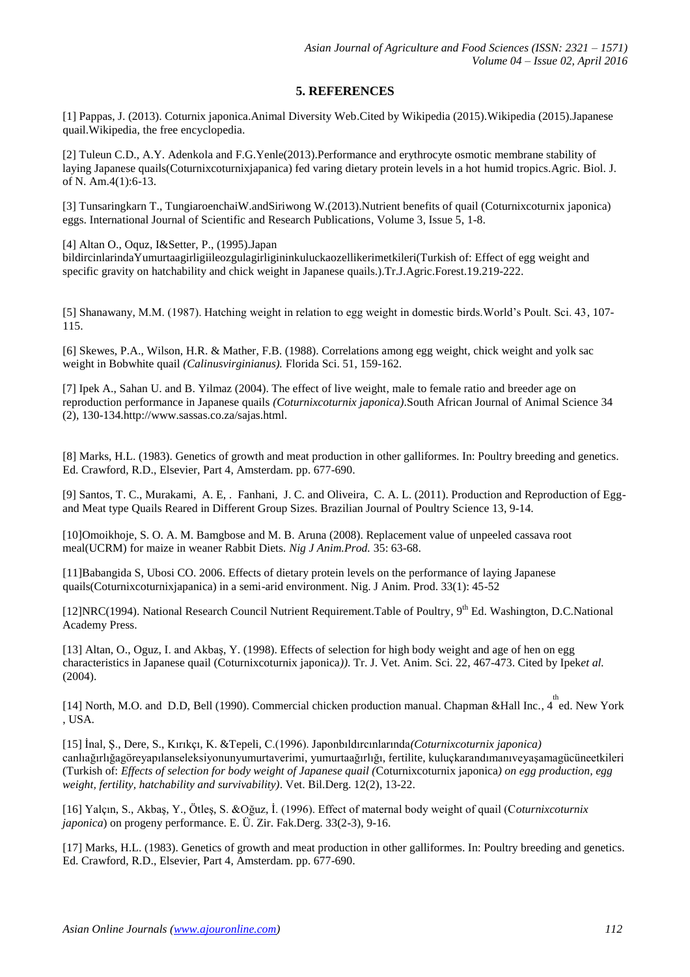# **5. REFERENCES**

[1] Pappas, J. (2013). Coturnix japonica.Animal Diversity Web.Cited by Wikipedia (2015).Wikipedia (2015).Japanese quail.Wikipedia, the free encyclopedia.

[2] Tuleun C.D., A.Y. Adenkola and F.G.Yenle(2013).Performance and erythrocyte osmotic membrane stability of laying Japanese quails(Coturnixcoturnixjapanica) fed varing dietary protein levels in a hot humid tropics.Agric. Biol. J. of N. Am.4(1):6-13.

[3] Tunsaringkarn T., TungiaroenchaiW.andSiriwong W.(2013).Nutrient benefits of quail (Coturnixcoturnix japonica) eggs. International Journal of Scientific and Research Publications, Volume 3, Issue 5, 1-8.

[4] Altan O., Oquz, I&Setter, P., (1995).Japan

bildircinlarindaYumurtaagirligiileozgulagirligininkuluckaozellikerimetkileri(Turkish of: Effect of egg weight and specific gravity on hatchability and chick weight in Japanese quails.).Tr.J.Agric.Forest.19.219-222.

[5] Shanawany, M.M. (1987). Hatching weight in relation to egg weight in domestic birds.World's Poult. Sci. 43, 107- 115.

[6] Skewes, P.A., Wilson, H.R. & Mather, F.B. (1988). Correlations among egg weight, chick weight and yolk sac weight in Bobwhite quail *(Calinusvirginianus).* Florida Sci. 51, 159-162.

[7] Ipek A., Sahan U. and B. Yilmaz (2004). The effect of live weight, male to female ratio and breeder age on reproduction performance in Japanese quails *(Coturnixcoturnix japonica)*.South African Journal of Animal Science 34 (2), 130-134.http://www.sassas.co.za/sajas.html.

[8] Marks, H.L. (1983). Genetics of growth and meat production in other galliformes. In: Poultry breeding and genetics. Ed. Crawford, R.D., Elsevier, Part 4, Amsterdam. pp. 677-690.

[9] Santos, T. C., Murakami, A. E, . Fanhani, J. C. and Oliveira, C. A. L. (2011). Production and Reproduction of Eggand Meat type Quails Reared in Different Group Sizes. Brazilian Journal of Poultry Science 13, 9-14.

[10]Omoikhoje, S. O. A. M. Bamgbose and M. B. Aruna (2008). Replacement value of unpeeled cassava root meal(UCRM) for maize in weaner Rabbit Diets. *Nig J Anim.Prod.* 35: 63-68.

[11]Babangida S, Ubosi CO. 2006. Effects of dietary protein levels on the performance of laying Japanese quails(Coturnixcoturnixjapanica) in a semi-arid environment. Nig. J Anim. Prod. 33(1): 45-52

[12]NRC(1994). National Research Council Nutrient Requirement. Table of Poultry, 9<sup>th</sup> Ed. Washington, D.C.National Academy Press.

[13] Altan, O., Oguz, I. and Akbaş, Y. (1998). Effects of selection for high body weight and age of hen on egg characteristics in Japanese quail (Coturnixcoturnix japonica*))*. Tr. J. Vet. Anim. Sci. 22, 467-473. Cited by Ipek*et al.* (2004).

[14] North, M.O. and D.D, Bell (1990). Commercial chicken production manual. Chapman &Hall Inc., 4 ed. New York , USA.

[15] İnal, Ş., Dere, S., Kırıkçı, K. &Tepeli, C.(1996). Japonbıldırcınlarında*(Coturnixcoturnix japonica)*  canlıağırlığagöreyapılanseleksiyonunyumurtaverimi, yumurtaağırlığı, fertilite, kuluçkarandımanıveyaşamagücüneetkileri (Turkish of: *Effects of selection for body weight of Japanese quail (*Coturnixcoturnix japonica*) on egg production, egg weight, fertility, hatchability and survivability)*. Vet. Bil.Derg. 12(2), 13-22.

[16] Yalçın, S., Akbaş, Y., Ötleş, S. &Oğuz, İ. (1996). Effect of maternal body weight of quail (C*oturnixcoturnix japonica*) on progeny performance. E. Ü. Zir. Fak.Derg. 33(2-3), 9-16.

[17] Marks, H.L. (1983). Genetics of growth and meat production in other galliformes. In: Poultry breeding and genetics. Ed. Crawford, R.D., Elsevier, Part 4, Amsterdam. pp. 677-690.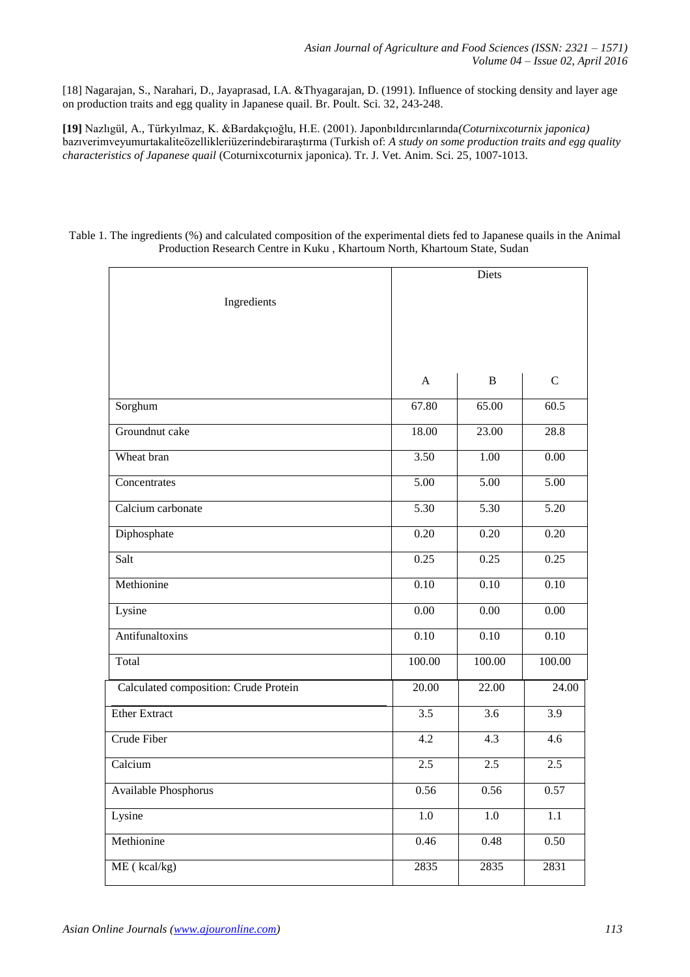[18] Nagarajan, S., Narahari, D., Jayaprasad, I.A. &Thyagarajan, D. (1991). Influence of stocking density and layer age on production traits and egg quality in Japanese quail. Br. Poult. Sci. 32, 243-248.

**[19]** Nazlıgül, A., Türkyılmaz, K. &Bardakçıoğlu, H.E. (2001). Japonbıldırcınlarında*(Coturnixcoturnix japonica)*  bazıverimveyumurtakaliteözellikleriüzerindebiraraştırma (Turkish of: *A study on some production traits and egg quality characteristics of Japanese quail* (Coturnixcoturnix japonica). Tr. J. Vet. Anim. Sci. 25, 1007-1013.

## Table 1. The ingredients (%) and calculated composition of the experimental diets fed to Japanese quails in the Animal Production Research Centre in Kuku , Khartoum North, Khartoum State, Sudan

| Ingredients                           | Diets             |                   |                   |
|---------------------------------------|-------------------|-------------------|-------------------|
|                                       | $\mathbf{A}$      | B                 | $\mathbf C$       |
| Sorghum                               | 67.80             | 65.00             | 60.5              |
| Groundnut cake                        | 18.00             | 23.00             | 28.8              |
| Wheat bran                            | 3.50              | 1.00              | 0.00              |
| Concentrates                          | $\overline{5.00}$ | 5.00              | $\overline{5.00}$ |
| Calcium carbonate                     | 5.30              | $\overline{5.30}$ | $\overline{5.20}$ |
| Diphosphate                           | 0.20              | 0.20              | 0.20              |
| Salt                                  | 0.25              | 0.25              | 0.25              |
| Methionine                            | $\overline{0.10}$ | $\overline{0.10}$ | $\overline{0.10}$ |
| Lysine                                | $0.00\,$          | $\overline{0.00}$ | $0.00\,$          |
| Antifunaltoxins                       | 0.10              | 0.10              | $\overline{0.10}$ |
| Total                                 | 100.00            | 100.00            | 100.00            |
| Calculated composition: Crude Protein | 20.00             | 22.00             | 24.00             |
| <b>Ether Extract</b>                  | 3.5               | 3.6               | 3.9               |
| Crude Fiber                           | 4.2               | 4.3               | 4.6               |
| Calcium                               | 2.5               | 2.5               | 2.5               |
| <b>Available Phosphorus</b>           | 0.56              | 0.56              | 0.57              |
| Lysine                                | $1.0\,$           | $1.0\,$           | $1.1\,$           |
| Methionine                            | 0.46              | 0.48              | 0.50              |
| ME (kcal/kg)                          | 2835              | 2835              | 2831              |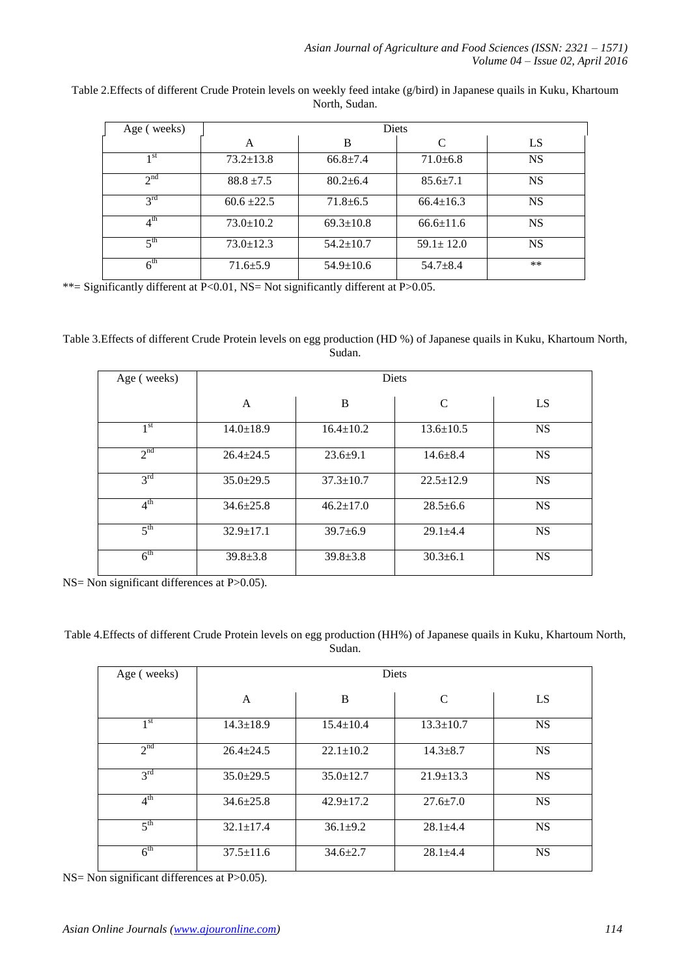| Age (weeks)       | Diets           |                 |                 |           |  |
|-------------------|-----------------|-----------------|-----------------|-----------|--|
|                   | A               | B               | C               | LS        |  |
| 1 <sub>st</sub>   | $73.2 \pm 13.8$ | $66.8 \pm 7.4$  | $71.0 \pm 6.8$  | <b>NS</b> |  |
| $2^{nd}$          | $88.8 \pm 7.5$  | $80.2 \pm 6.4$  | $85.6 \pm 7.1$  | <b>NS</b> |  |
| $2^{\text{rd}}$   | $60.6 \pm 22.5$ | $71.8 \pm 6.5$  | $66.4 \pm 16.3$ | <b>NS</b> |  |
| $4^{\rm th}$      | $73.0 \pm 10.2$ | $69.3 \pm 10.8$ | $66.6 \pm 11.6$ | <b>NS</b> |  |
| $5$ <sup>th</sup> | $73.0 \pm 12.3$ | $54.2 \pm 10.7$ | $59.1 \pm 12.0$ | <b>NS</b> |  |
| $6^{\text{th}}$   | $71.6 \pm 5.9$  | $54.9 \pm 10.6$ | $54.7 + 8.4$    | $***$     |  |

Table 2.Effects of different Crude Protein levels on weekly feed intake (g/bird) in Japanese quails in Kuku, Khartoum North, Sudan.

\*\*= Significantly different at P<0.01, NS= Not significantly different at P>0.05.

Table 3.Effects of different Crude Protein levels on egg production (HD %) of Japanese quails in Kuku, Khartoum North, Sudan.

| Age (weeks)     | <b>Diets</b>    |                 |                 |           |  |
|-----------------|-----------------|-----------------|-----------------|-----------|--|
|                 | A               | B               | $\mathcal{C}$   | LS        |  |
| 1 <sup>st</sup> | $14.0 \pm 18.9$ | $16.4 \pm 10.2$ | $13.6 \pm 10.5$ | <b>NS</b> |  |
| $2^{nd}$        | $26.4 \pm 24.5$ | $23.6+9.1$      | $14.6 \pm 8.4$  | <b>NS</b> |  |
| $3^{\text{rd}}$ | $35.0 \pm 29.5$ | $37.3 \pm 10.7$ | $22.5 \pm 12.9$ | <b>NS</b> |  |
| $4^{\text{th}}$ | $34.6 \pm 25.8$ | $46.2 \pm 17.0$ | $28.5 \pm 6.6$  | <b>NS</b> |  |
| 5 <sup>th</sup> | $32.9 \pm 17.1$ | $39.7 \pm 6.9$  | $29.1 + 4.4$    | <b>NS</b> |  |
| 6 <sup>th</sup> | $39.8 \pm 3.8$  | $39.8 \pm 3.8$  | $30.3 \pm 6.1$  | <b>NS</b> |  |

NS= Non significant differences at P>0.05).

Table 4.Effects of different Crude Protein levels on egg production (HH%) of Japanese quails in Kuku, Khartoum North, Sudan.

| Age (weeks)     | Diets           |                 |                 |           |  |
|-----------------|-----------------|-----------------|-----------------|-----------|--|
|                 | A               | B               | $\mathcal{C}$   | LS        |  |
| 1 <sup>st</sup> | $14.3 \pm 18.9$ | $15.4 \pm 10.4$ | $13.3 \pm 10.7$ | <b>NS</b> |  |
| 2 <sup>nd</sup> | $26.4 \pm 24.5$ | $22.1 \pm 10.2$ | $14.3 \pm 8.7$  | <b>NS</b> |  |
| $3^{\rm rd}$    | $35.0 \pm 29.5$ | $35.0 \pm 12.7$ | $21.9 \pm 13.3$ | <b>NS</b> |  |
| 4 <sup>th</sup> | $34.6 \pm 25.8$ | $42.9 \pm 17.2$ | $27.6 \pm 7.0$  | <b>NS</b> |  |
| 5 <sup>th</sup> | $32.1 \pm 17.4$ | $36.1 \pm 9.2$  | $28.1 + 4.4$    | <b>NS</b> |  |
| 6 <sup>th</sup> | $37.5 \pm 11.6$ | $34.6 \pm 2.7$  | $28.1 \pm 4.4$  | <b>NS</b> |  |

NS= Non significant differences at P>0.05).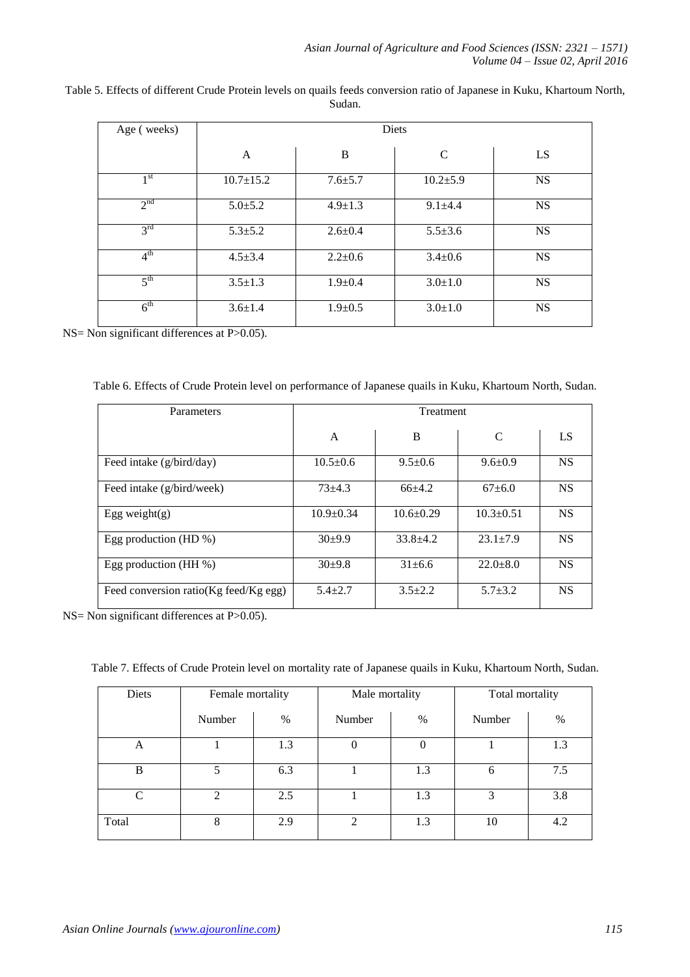| Age (weeks)     | <b>Diets</b>    |               |                |           |  |
|-----------------|-----------------|---------------|----------------|-----------|--|
|                 | A               | B             | C              | LS        |  |
| 1 <sup>st</sup> | $10.7 \pm 15.2$ | $7.6 \pm 5.7$ | $10.2{\pm}5.9$ | <b>NS</b> |  |
| 2 <sup>nd</sup> | $5.0 \pm 5.2$   | $4.9 \pm 1.3$ | $9.1 + 4.4$    | <b>NS</b> |  |
| 3 <sup>rd</sup> | $5.3 \pm 5.2$   | $2.6 \pm 0.4$ | $5.5 \pm 3.6$  | <b>NS</b> |  |
| 4 <sup>th</sup> | $4.5 \pm 3.4$   | $2.2 \pm 0.6$ | $3.4 \pm 0.6$  | <b>NS</b> |  |
| 5 <sup>th</sup> | $3.5 \pm 1.3$   | $1.9 \pm 0.4$ | $3.0 \pm 1.0$  | <b>NS</b> |  |
| 6 <sup>th</sup> | $3.6 \pm 1.4$   | $1.9 \pm 0.5$ | $3.0 \pm 1.0$  | <b>NS</b> |  |

Table 5. Effects of different Crude Protein levels on quails feeds conversion ratio of Japanese in Kuku, Khartoum North, Sudan.

NS= Non significant differences at P>0.05).

Table 6. Effects of Crude Protein level on performance of Japanese quails in Kuku, Khartoum North, Sudan.

| Parameters                            | <b>Treatment</b> |                 |                |           |  |
|---------------------------------------|------------------|-----------------|----------------|-----------|--|
|                                       | A                | B               | C              | LS        |  |
| Feed intake (g/bird/day)              | $10.5 \pm 0.6$   | $9.5 \pm 0.6$   | $9.6 \pm 0.9$  | <b>NS</b> |  |
| Feed intake (g/bird/week)             | $73 + 4.3$       | $66+4.2$        | $67+6.0$       | <b>NS</b> |  |
| Egg weight $(g)$                      | $10.9 + 0.34$    | $10.6 \pm 0.29$ | $10.3 + 0.51$  | <b>NS</b> |  |
| Egg production (HD $\%$ )             | $30+9.9$         | $33.8 + 4.2$    | $23.1 + 7.9$   | <b>NS</b> |  |
| Egg production (HH $\%$ )             | $30+9.8$         | $31 \pm 6.6$    | $22.0 \pm 8.0$ | <b>NS</b> |  |
| Feed conversion ratio(Kg feed/Kg egg) | $5.4 \pm 2.7$    | $3.5 \pm 2.2$   | $5.7 \pm 3.2$  | <b>NS</b> |  |

NS= Non significant differences at P>0.05).

| Table 7. Effects of Crude Protein level on mortality rate of Japanese quails in Kuku, Khartoum North, Sudan. |  |  |  |  |
|--------------------------------------------------------------------------------------------------------------|--|--|--|--|
|--------------------------------------------------------------------------------------------------------------|--|--|--|--|

| Diets         | Female mortality |      | Male mortality              |      | Total mortality |      |
|---------------|------------------|------|-----------------------------|------|-----------------|------|
|               | Number           | $\%$ | Number                      | $\%$ | Number          | $\%$ |
| A             |                  | 1.3  | $\theta$                    | 0    |                 | 1.3  |
| B             | 5                | 6.3  |                             | 1.3  | 6               | 7.5  |
| $\mathcal{C}$ | $\overline{2}$   | 2.5  |                             | 1.3  | 3               | 3.8  |
| Total         | 8                | 2.9  | $\mathcal{D}_{\mathcal{L}}$ | 1.3  | 10              | 4.2  |